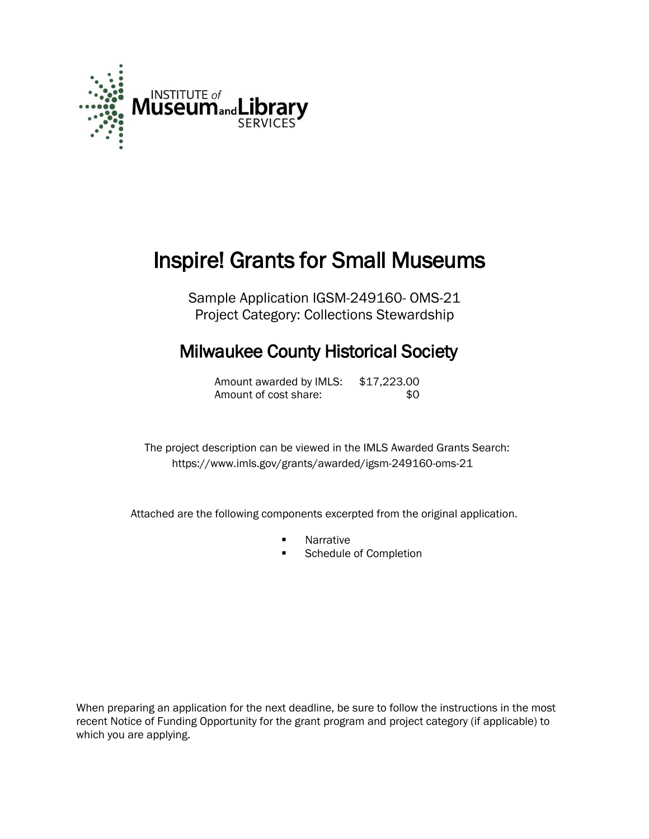

# Inspire! Grants for Small Museums

Sample Application IGSM-249160- OMS-21 Project Category: Collections Stewardship

# Milwaukee County Historical Society

Amount awarded by IMLS: \$17,223.00 Amount of cost share:  $$0$ 

 The project description can be viewed in the IMLS Awarded Grants Search: <https://www.imls.gov/grants/awarded/igsm-249160-oms-21>

Attached are the following components excerpted from the original application.

- Narrative
- **Schedule of Completion**

When preparing an application for the next deadline, be sure to follow the instructions in the most recent Notice of Funding Opportunity for the grant program and project category (if applicable) to which you are applying.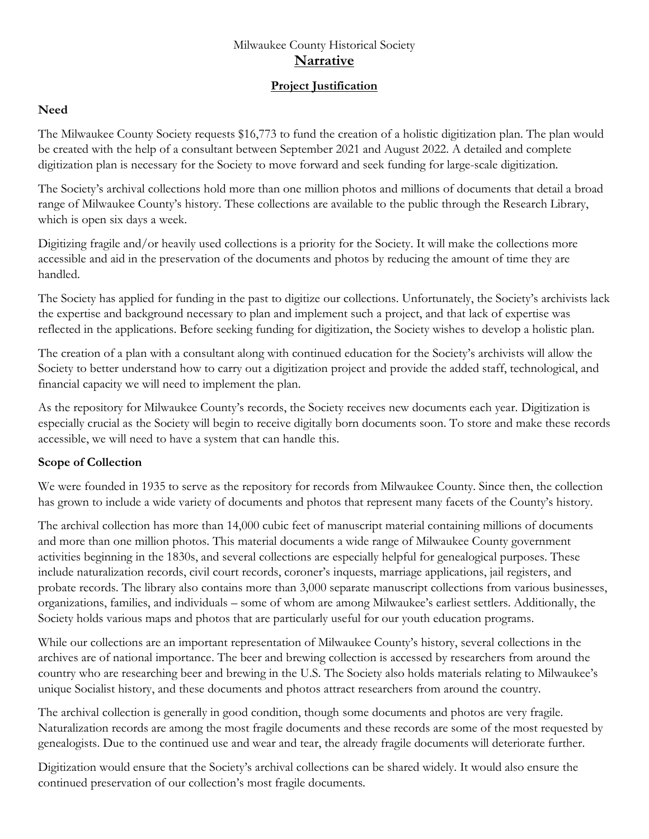# Milwaukee County Historical Society **Narrative**

# **Project Justification**

#### **Need**

The Milwaukee County Society requests \$16,773 to fund the creation of a holistic digitization plan. The plan would be created with the help of a consultant between September 2021 and August 2022. A detailed and complete digitization plan is necessary for the Society to move forward and seek funding for large-scale digitization.

The Society's archival collections hold more than one million photos and millions of documents that detail a broad range of Milwaukee County's history. These collections are available to the public through the Research Library, which is open six days a week.

Digitizing fragile and/or heavily used collections is a priority for the Society. It will make the collections more accessible and aid in the preservation of the documents and photos by reducing the amount of time they are handled.

The Society has applied for funding in the past to digitize our collections. Unfortunately, the Society's archivists lack the expertise and background necessary to plan and implement such a project, and that lack of expertise was reflected in the applications. Before seeking funding for digitization, the Society wishes to develop a holistic plan.

The creation of a plan with a consultant along with continued education for the Society's archivists will allow the Society to better understand how to carry out a digitization project and provide the added staff, technological, and financial capacity we will need to implement the plan.

As the repository for Milwaukee County's records, the Society receives new documents each year. Digitization is especially crucial as the Society will begin to receive digitally born documents soon. To store and make these records accessible, we will need to have a system that can handle this.

# **Scope of Collection**

We were founded in 1935 to serve as the repository for records from Milwaukee County. Since then, the collection has grown to include a wide variety of documents and photos that represent many facets of the County's history.

The archival collection has more than 14,000 cubic feet of manuscript material containing millions of documents and more than one million photos. This material documents a wide range of Milwaukee County government activities beginning in the 1830s, and several collections are especially helpful for genealogical purposes. These include naturalization records, civil court records, coroner's inquests, marriage applications, jail registers, and probate records. The library also contains more than 3,000 separate manuscript collections from various businesses, organizations, families, and individuals – some of whom are among Milwaukee's earliest settlers. Additionally, the Society holds various maps and photos that are particularly useful for our youth education programs.

While our collections are an important representation of Milwaukee County's history, several collections in the archives are of national importance. The beer and brewing collection is accessed by researchers from around the country who are researching beer and brewing in the U.S. The Society also holds materials relating to Milwaukee's unique Socialist history, and these documents and photos attract researchers from around the country.

The archival collection is generally in good condition, though some documents and photos are very fragile. Naturalization records are among the most fragile documents and these records are some of the most requested by genealogists. Due to the continued use and wear and tear, the already fragile documents will deteriorate further.

Digitization would ensure that the Society's archival collections can be shared widely. It would also ensure the continued preservation of our collection's most fragile documents.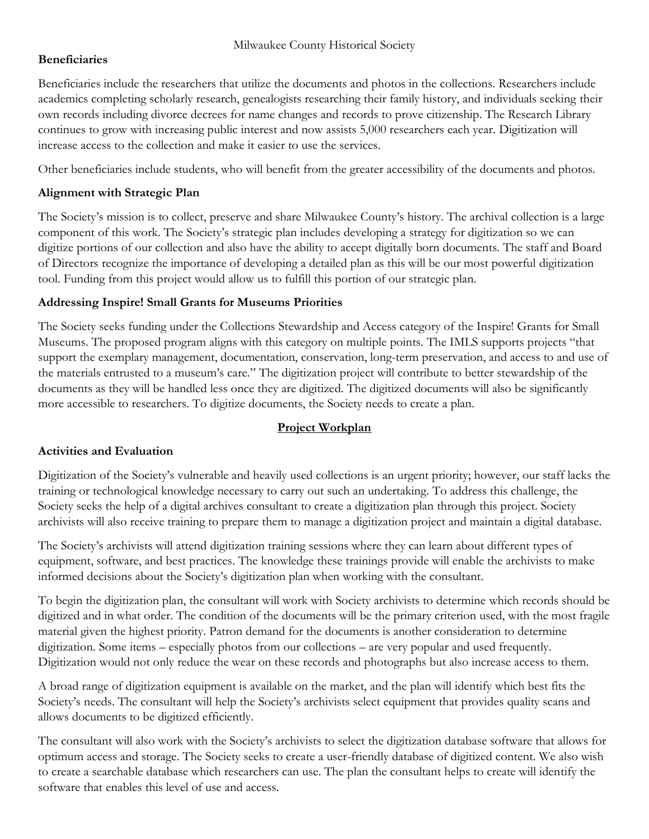# **Beneficiaries**

Beneficiaries include the researchers that utilize the documents and photos in the collections. Researchers include academics completing scholarly research, genealogists researching their family history, and individuals seeking their own records including divorce decrees for name changes and records to prove citizenship. The Research Library continues to grow with increasing public interest and now assists 5,000 researchers each year. Digitization will increase access to the collection and make it easier to use the services.

Other beneficiaries include students, who will benefit from the greater accessibility of the documents and photos.

# **Alignment with Strategic Plan**

The Society's mission is to collect, preserve and share Milwaukee County's history. The archival collection is a large component of this work. The Society's strategic plan includes developing a strategy for digitization so we can digitize portions of our collection and also have the ability to accept digitally born documents. The staff and Board of Directors recognize the importance of developing a detailed plan as this will be our most powerful digitization tool. Funding from this project would allow us to fulfill this portion of our strategic plan.

# **Addressing Inspire! Small Grants for Museums Priorities**

The Society seeks funding under the Collections Stewardship and Access category of the Inspire! Grants for Small Museums. The proposed program aligns with this category on multiple points. The IMLS supports projects "that support the exemplary management, documentation, conservation, long-term preservation, and access to and use of the materials entrusted to a museum's care." The digitization project will contribute to better stewardship of the documents as they will be handled less once they are digitized. The digitized documents will also be significantly more accessible to researchers. To digitize documents, the Society needs to create a plan.

# **Project Workplan**

# **Activities and Evaluation**

Digitization of the Society's vulnerable and heavily used collections is an urgent priority; however, our staff lacks the training or technological knowledge necessary to carry out such an undertaking. To address this challenge, the Society seeks the help of a digital archives consultant to create a digitization plan through this project. Society archivists will also receive training to prepare them to manage a digitization project and maintain a digital database.

The Society's archivists will attend digitization training sessions where they can learn about different types of equipment, software, and best practices. The knowledge these trainings provide will enable the archivists to make informed decisions about the Society's digitization plan when working with the consultant.

To begin the digitization plan, the consultant will work with Society archivists to determine which records should be digitized and in what order. The condition of the documents will be the primary criterion used, with the most fragile material given the highest priority. Patron demand for the documents is another consideration to determine digitization. Some items – especially photos from our collections – are very popular and used frequently. Digitization would not only reduce the wear on these records and photographs but also increase access to them.

A broad range of digitization equipment is available on the market, and the plan will identify which best fits the Society's needs. The consultant will help the Society's archivists select equipment that provides quality scans and allows documents to be digitized efficiently.

The consultant will also work with the Society's archivists to select the digitization database software that allows for optimum access and storage. The Society seeks to create a user-friendly database of digitized content. We also wish to create a searchable database which researchers can use. The plan the consultant helps to create will identify the software that enables this level of use and access.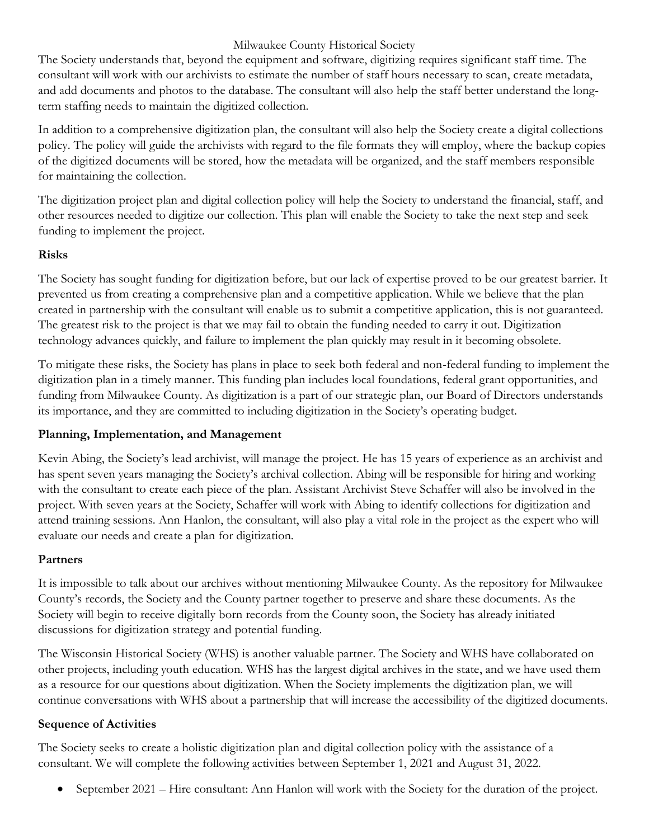# Milwaukee County Historical Society

The Society understands that, beyond the equipment and software, digitizing requires significant staff time. The consultant will work with our archivists to estimate the number of staff hours necessary to scan, create metadata, and add documents and photos to the database. The consultant will also help the staff better understand the longterm staffing needs to maintain the digitized collection.

In addition to a comprehensive digitization plan, the consultant will also help the Society create a digital collections policy. The policy will guide the archivists with regard to the file formats they will employ, where the backup copies of the digitized documents will be stored, how the metadata will be organized, and the staff members responsible for maintaining the collection.

The digitization project plan and digital collection policy will help the Society to understand the financial, staff, and other resources needed to digitize our collection. This plan will enable the Society to take the next step and seek funding to implement the project.

# **Risks**

The Society has sought funding for digitization before, but our lack of expertise proved to be our greatest barrier. It prevented us from creating a comprehensive plan and a competitive application. While we believe that the plan created in partnership with the consultant will enable us to submit a competitive application, this is not guaranteed. The greatest risk to the project is that we may fail to obtain the funding needed to carry it out. Digitization technology advances quickly, and failure to implement the plan quickly may result in it becoming obsolete.

To mitigate these risks, the Society has plans in place to seek both federal and non-federal funding to implement the digitization plan in a timely manner. This funding plan includes local foundations, federal grant opportunities, and funding from Milwaukee County. As digitization is a part of our strategic plan, our Board of Directors understands its importance, and they are committed to including digitization in the Society's operating budget.

# **Planning, Implementation, and Management**

Kevin Abing, the Society's lead archivist, will manage the project. He has 15 years of experience as an archivist and has spent seven years managing the Society's archival collection. Abing will be responsible for hiring and working with the consultant to create each piece of the plan. Assistant Archivist Steve Schaffer will also be involved in the project. With seven years at the Society, Schaffer will work with Abing to identify collections for digitization and attend training sessions. Ann Hanlon, the consultant, will also play a vital role in the project as the expert who will evaluate our needs and create a plan for digitization.

# **Partners**

It is impossible to talk about our archives without mentioning Milwaukee County. As the repository for Milwaukee County's records, the Society and the County partner together to preserve and share these documents. As the Society will begin to receive digitally born records from the County soon, the Society has already initiated discussions for digitization strategy and potential funding.

The Wisconsin Historical Society (WHS) is another valuable partner. The Society and WHS have collaborated on other projects, including youth education. WHS has the largest digital archives in the state, and we have used them as a resource for our questions about digitization. When the Society implements the digitization plan, we will continue conversations with WHS about a partnership that will increase the accessibility of the digitized documents.

# **Sequence of Activities**

The Society seeks to create a holistic digitization plan and digital collection policy with the assistance of a consultant. We will complete the following activities between September 1, 2021 and August 31, 2022.

• September 2021 – Hire consultant: Ann Hanlon will work with the Society for the duration of the project.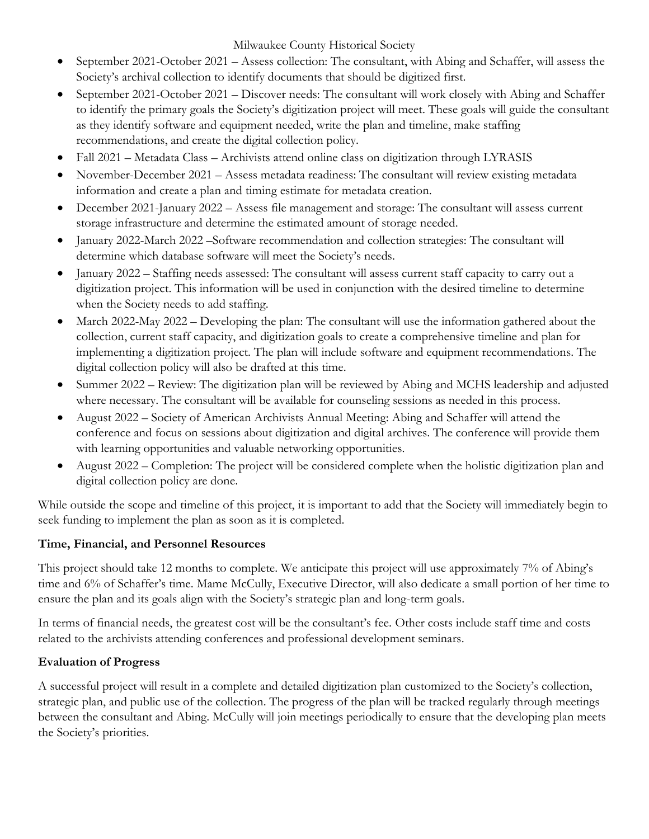Milwaukee County Historical Society

- September 2021-October 2021 Assess collection: The consultant, with Abing and Schaffer, will assess the Society's archival collection to identify documents that should be digitized first.
- September 2021-October 2021 Discover needs: The consultant will work closely with Abing and Schaffer to identify the primary goals the Society's digitization project will meet. These goals will guide the consultant as they identify software and equipment needed, write the plan and timeline, make staffing recommendations, and create the digital collection policy.
- Fall 2021 Metadata Class Archivists attend online class on digitization through LYRASIS
- November-December 2021 Assess metadata readiness: The consultant will review existing metadata information and create a plan and timing estimate for metadata creation.
- December 2021-January 2022 Assess file management and storage: The consultant will assess current storage infrastructure and determine the estimated amount of storage needed.
- January 2022-March 2022 –Software recommendation and collection strategies: The consultant will determine which database software will meet the Society's needs.
- January 2022 Staffing needs assessed: The consultant will assess current staff capacity to carry out a digitization project. This information will be used in conjunction with the desired timeline to determine when the Society needs to add staffing.
- March 2022-May 2022 Developing the plan: The consultant will use the information gathered about the collection, current staff capacity, and digitization goals to create a comprehensive timeline and plan for implementing a digitization project. The plan will include software and equipment recommendations. The digital collection policy will also be drafted at this time.
- Summer 2022 Review: The digitization plan will be reviewed by Abing and MCHS leadership and adjusted where necessary. The consultant will be available for counseling sessions as needed in this process.
- August 2022 Society of American Archivists Annual Meeting: Abing and Schaffer will attend the conference and focus on sessions about digitization and digital archives. The conference will provide them with learning opportunities and valuable networking opportunities.
- August 2022 Completion: The project will be considered complete when the holistic digitization plan and digital collection policy are done.

While outside the scope and timeline of this project, it is important to add that the Society will immediately begin to seek funding to implement the plan as soon as it is completed.

# **Time, Financial, and Personnel Resources**

This project should take 12 months to complete. We anticipate this project will use approximately 7% of Abing's time and 6% of Schaffer's time. Mame McCully, Executive Director, will also dedicate a small portion of her time to ensure the plan and its goals align with the Society's strategic plan and long-term goals.

In terms of financial needs, the greatest cost will be the consultant's fee. Other costs include staff time and costs related to the archivists attending conferences and professional development seminars.

# **Evaluation of Progress**

A successful project will result in a complete and detailed digitization plan customized to the Society's collection, strategic plan, and public use of the collection. The progress of the plan will be tracked regularly through meetings between the consultant and Abing. McCully will join meetings periodically to ensure that the developing plan meets the Society's priorities.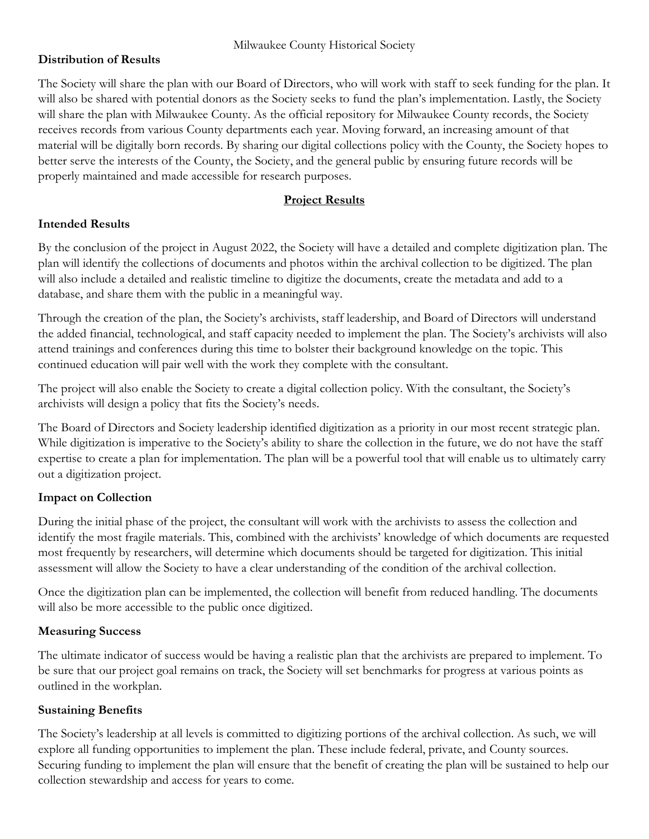# **Distribution of Results**

The Society will share the plan with our Board of Directors, who will work with staff to seek funding for the plan. It will also be shared with potential donors as the Society seeks to fund the plan's implementation. Lastly, the Society will share the plan with Milwaukee County. As the official repository for Milwaukee County records, the Society receives records from various County departments each year. Moving forward, an increasing amount of that material will be digitally born records. By sharing our digital collections policy with the County, the Society hopes to better serve the interests of the County, the Society, and the general public by ensuring future records will be properly maintained and made accessible for research purposes.

#### **Project Results**

#### **Intended Results**

By the conclusion of the project in August 2022, the Society will have a detailed and complete digitization plan. The plan will identify the collections of documents and photos within the archival collection to be digitized. The plan will also include a detailed and realistic timeline to digitize the documents, create the metadata and add to a database, and share them with the public in a meaningful way.

Through the creation of the plan, the Society's archivists, staff leadership, and Board of Directors will understand the added financial, technological, and staff capacity needed to implement the plan. The Society's archivists will also attend trainings and conferences during this time to bolster their background knowledge on the topic. This continued education will pair well with the work they complete with the consultant.

The project will also enable the Society to create a digital collection policy. With the consultant, the Society's archivists will design a policy that fits the Society's needs.

The Board of Directors and Society leadership identified digitization as a priority in our most recent strategic plan. While digitization is imperative to the Society's ability to share the collection in the future, we do not have the staff expertise to create a plan for implementation. The plan will be a powerful tool that will enable us to ultimately carry out a digitization project.

# **Impact on Collection**

During the initial phase of the project, the consultant will work with the archivists to assess the collection and identify the most fragile materials. This, combined with the archivists' knowledge of which documents are requested most frequently by researchers, will determine which documents should be targeted for digitization. This initial assessment will allow the Society to have a clear understanding of the condition of the archival collection.

Once the digitization plan can be implemented, the collection will benefit from reduced handling. The documents will also be more accessible to the public once digitized.

#### **Measuring Success**

The ultimate indicator of success would be having a realistic plan that the archivists are prepared to implement. To be sure that our project goal remains on track, the Society will set benchmarks for progress at various points as outlined in the workplan.

#### **Sustaining Benefits**

The Society's leadership at all levels is committed to digitizing portions of the archival collection. As such, we will explore all funding opportunities to implement the plan. These include federal, private, and County sources. Securing funding to implement the plan will ensure that the benefit of creating the plan will be sustained to help our collection stewardship and access for years to come.